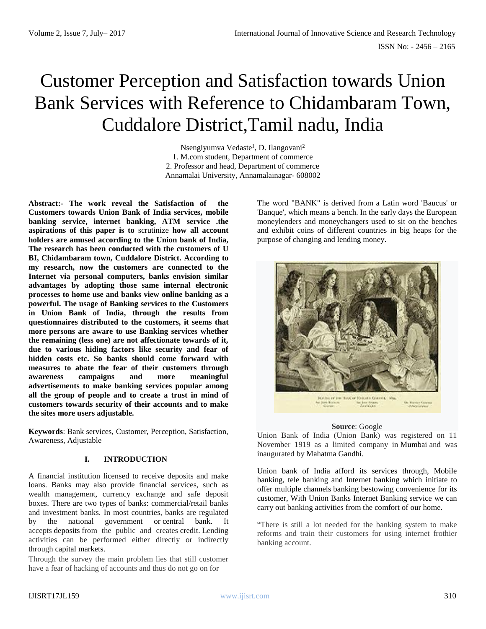# Customer Perception and Satisfaction towards Union Bank Services with Reference to Chidambaram Town, Cuddalore District,Tamil nadu, India

Nsengiyumva Vedaste<sup>1</sup>, D. Ilangovani<sup>2</sup> 1. M.com student, Department of commerce 2. Professor and head, Department of commerce Annamalai University, Annamalainagar- 608002

**Abstract:- The work reveal the Satisfaction of the Customers towards Union Bank of India services, mobile banking service, internet banking, ATM service .the aspirations of this paper is to** scrutinize **how all account holders are amused according to the Union bank of India, The research has been conducted with the customers of U BI, Chidambaram town, Cuddalore District. According to my research, now the customers are connected to the Internet via personal computers, banks envision similar advantages by adopting those same internal electronic processes to home use and banks view online banking as a powerful. The usage of Banking services to the Customers in Union Bank of India, through the results from questionnaires distributed to the customers, it seems that more persons are aware to use Banking services whether the remaining (less one) are not affectionate towards of it, due to various hiding factors like security and fear of hidden costs etc. So banks should come forward with measures to abate the fear of their customers through awareness campaigns and more meaningful advertisements to make banking services popular among all the group of people and to create a trust in mind of customers towards security of their accounts and to make the sites more users adjustable.**

**Keywords**: Bank services, Customer, Perception, Satisfaction, Awareness, Adjustable

# **I. INTRODUCTION**

A financial institution licensed to receive deposits and make loans. Banks may also provide financial services, such as wealth management, currency exchange and safe deposit boxes. There are two types of banks: commercial/retail banks and investment banks. In most countries, banks are regulated by the national government or [central bank.](http://www.investopedia.com/terms/c/centralbank.asp) It accepts [deposits](https://en.wikipedia.org/wiki/Deposit_account) from the public and creates [credit.](https://en.wikipedia.org/wiki/Demand_deposit) Lending activities can be performed either directly or indirectly through [capital markets.](https://en.wikipedia.org/wiki/Capital_market)

Through the survey the main problem lies that still customer have a fear of hacking of accounts and thus do not go on for

The word "BANK" is derived from a Latin word 'Baucus' or 'Banque', which means a bench. In the early days the European moneylenders and moneychangers used to sit on the benches and exhibit coins of different countries in big heaps for the purpose of changing and lending money.



#### **Source**: Google

Union Bank of India (Union Bank) was registered on 11 November 1919 as a limited company in [Mumbai](https://en.wikipedia.org/wiki/Mumbai) and was inaugurated by [Mahatma Gandhi.](https://en.wikipedia.org/wiki/Mahatma_Gandhi)

Union bank of India afford its services through, Mobile banking, tele banking and Internet banking which initiate to offer multiple channels banking bestowing convenience for its customer, With Union Banks Internet Banking service we can carry out banking activities from the comfort of our home.

"There is still a lot needed for the banking system to make reforms and train their customers for using internet frothier banking account.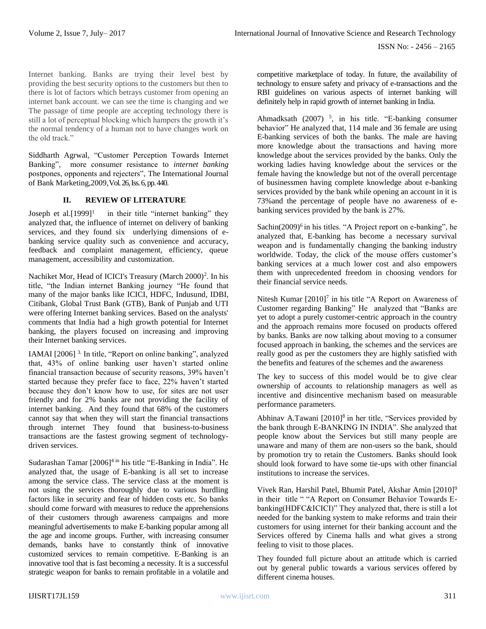Internet banking. Banks are trying their level best by providing the best security options to the customers but then to there is lot of factors which betrays customer from opening an internet bank account. we can see the time is changing and we The passage of time people are accepting technology there is still a lot of perceptual blocking which hampers the growth it's the normal tendency of a human not to have changes work on the old track."

Siddharth Agrwal, "Customer Perception Towards Internet Banking", more consumer resistance to *internet banking* postpones, opponents and rejecters", The International Journal of Bank Marketing,2009,Vol. 26, Iss. 6, pp. 440.

#### **II. REVIEW OF LITERATURE**

Joseph et al. $[1999]$ <sup>1</sup> in their title "internet banking" they analyzed that, the influence of internet on delivery of banking services, and they found six underlying dimensions of ebanking service quality such as convenience and accuracy, feedback and complaint management, efficiency, queue management, accessibility and customization.

Nachiket Mor, Head of ICICI's Treasury (March 2000)<sup>2</sup>. In his title, "the Indian internet Banking journey "He found that many of the major banks like ICICI, HDFC, Indusund, IDBI, Citibank, Global Trust Bank (GTB), Bank of Punjab and UTI were offering Internet banking services. Based on the analysts' comments that India had a high growth potential for Internet banking, the players focused on increasing and improving their Internet banking services.

IAMAI [2006] 3. In title, "Report on online banking", analyzed that, 43% of online banking user haven't started online financial transaction because of security reasons, 39% haven't started because they prefer face to face, 22% haven't started because they don't know how to use, for sites are not user friendly and for 2% banks are not providing the facility of internet banking. And they found that 68% of the customers cannot say that when they will start the financial transactions through internet They found that business-to-business transactions are the fastest growing segment of technologydriven services.

Sudarashan Tamar [2006]<sup>4 in</sup> his title "E-Banking in India". He analyzed that, the usage of E-banking is all set to increase among the service class. The service class at the moment is not using the services thoroughly due to various hurdling factors like in security and fear of hidden costs etc. So banks should come forward with measures to reduce the apprehensions of their customers through awareness campaigns and more meaningful advertisements to make E-banking popular among all the age and income groups. Further, with increasing consumer demands, banks have to constantly think of innovative customized services to remain competitive. E-Banking is an innovative tool that is fast becoming a necessity. It is a successful strategic weapon for banks to remain profitable in a volatile and competitive marketplace of today. In future, the availability of technology to ensure safety and privacy of e-transactions and the RBI guidelines on various aspects of internet banking will definitely help in rapid growth of internet banking in India.

Ahmadksath  $(2007)$ <sup>5</sup>, in his title. "E-banking consumer behavior" He analyzed that, 114 male and 36 female are using E-banking services of both the banks. The male are having more knowledge about the transactions and having more knowledge about the services provided by the banks. Only the working ladies having knowledge about the services or the female having the knowledge but not of the overall percentage of businessmen having complete knowledge about e-banking services provided by the bank while opening an account in it is 73%and the percentage of people have no awareness of ebanking services provided by the bank is 27%.

Sachin(2009)<sup>6</sup> in his titles. "A Project report on e-banking", he analyzed that, E-banking has become a necessary survival weapon and is fundamentally changing the banking industry worldwide. Today, the click of the mouse offers customer's banking services at a much lower cost and also empowers them with unprecedented freedom in choosing vendors for their financial service needs.

Nitesh Kumar  $[2010]$ <sup>7</sup> in his title "A Report on Awareness of Customer regarding Banking" He analyzed that "Banks are yet to adopt a purely customer-centric approach in the country and the approach remains more focused on products offered by banks. Banks are now talking about moving to a consumer focused approach in banking, the schemes and the services are really good as per the customers they are highly satisfied with the benefits and features of the schemes and the awareness

The key to success of this model would be to give clear ownership of accounts to relationship managers as well as incentive and disincentive mechanism based on measurable performance parameters.

Abhinav A.Tawani  $[2010]^8$  in her title, "Services provided by the bank through E-BANKING IN INDIA". She analyzed that people know about the Services but still many people are unaware and many of them are non-users so the bank, should by promotion try to retain the Customers. Banks should look should look forward to have some tie-ups with other financial institutions to increase the services.

Vivek Ran, Harshil Patel, Bhumit Patel, Akshar Amin [2010]<sup>9</sup> in their title " "A Report on Consumer Behavior Towards Ebanking(HDFC&ICICI)" They analyzed that, there is still a lot needed for the banking system to make reforms and train their customers for using internet for their banking account and the Services offered by Cinema halls and what gives a strong feeling to visit to those places.

They founded full picture about an attitude which is carried out by general public towards a various services offered by different cinema houses.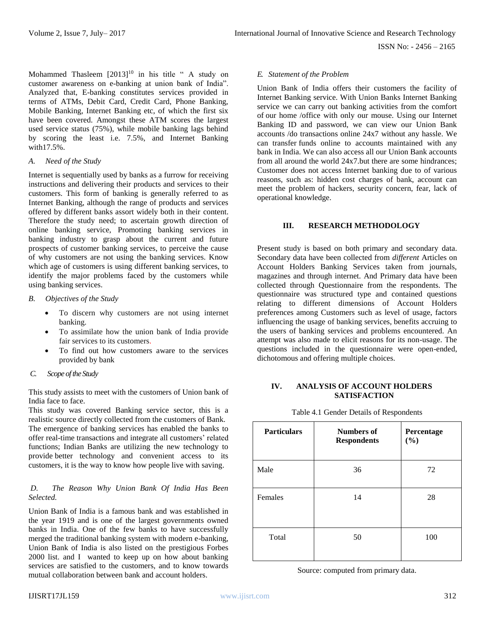Mohammed Thasleem  $[2013]^{10}$  in his title " A study on customer awareness on e-banking at union bank of India". Analyzed that, E-banking constitutes services provided in terms of ATMs, Debit Card, Credit Card, Phone Banking, Mobile Banking, Internet Banking etc, of which the first six have been covered. Amongst these ATM scores the largest used service status (75%), while mobile banking lags behind by scoring the least i.e. 7.5%, and Internet Banking with17.5%.

## *A. Need of the Study*

Internet is sequentially used by banks as a furrow for receiving instructions and delivering their products and services to their customers. This form of banking is generally referred to as Internet Banking, although the range of products and services offered by different banks assort widely both in their content. Therefore the study need; to ascertain growth direction of online banking service, Promoting banking services in banking industry to grasp about the current and future prospects of customer banking services, to perceive the cause of why customers are not using the banking services. Know which age of customers is using different banking services, to identify the major problems faced by the customers while using banking services.

### *B.**Objectives of the Study*

- To discern why customers are not using internet banking.
- To assimilate how the union bank of India provide fair services to its customers.
- To find out how customers aware to the services provided by bank

# *C.**Scope of the Study*

This study assists to meet with the customers of Union bank of India face to face.

This study was covered Banking service sector, this is a realistic source directly collected from the customers of Bank. The emergence of banking services has enabled the banks to offer real-time transactions and integrate all customers' related functions; Indian Banks are utilizing the new technology to provide better technology and convenient access to its customers, it is the way to know how people live with saving.

### *D. The Reason Why Union Bank Of India Has Been Selected.*

Union Bank of India is a famous bank and was established in the year 1919 and is one of the largest governments owned banks in India. One of the few banks to have successfully merged the traditional banking system with modern e-banking, Union Bank of India is also listed on the prestigious Forbes 2000 list. and I wanted to keep up on how about banking services are satisfied to the customers, and to know towards mutual collaboration between bank and account holders.

#### *E. Statement of the Problem*

Union Bank of India offers their customers the facility of Internet Banking service. With Union Banks Internet Banking service we can carry out banking activities from the comfort of our home /office with only our mouse. Using our Internet Banking ID and password, we can view our Union Bank accounts /do transactions online 24x7 without any hassle. We can transfer funds online to accounts maintained with any bank in India. We can also access all our Union Bank accounts from all around the world 24x7.but there are some hindrances; Customer does not access Internet banking due to of various reasons, such as: hidden cost charges of bank, account can meet the problem of hackers, security concern, fear, lack of operational knowledge.

### **III. RESEARCH METHODOLOGY**

Present study is based on both primary and secondary data. Secondary data have been collected from *different* Articles on Account Holders Banking Services taken from journals, magazines and through internet. And Primary data have been collected through Questionnaire from the respondents. The questionnaire was structured type and contained questions relating to different dimensions of Account Holders preferences among Customers such as level of usage, factors influencing the usage of banking services, benefits accruing to the users of banking services and problems encountered. An attempt was also made to elicit reasons for its non-usage. The questions included in the questionnaire were open-ended, dichotomous and offering multiple choices.

#### **IV. ANALYSIS OF ACCOUNT HOLDERS SATISFACTION**

| <b>Particulars</b> | <b>Numbers of</b><br><b>Respondents</b> | Percentage<br>(%) |
|--------------------|-----------------------------------------|-------------------|
| Male               | 36                                      | 72                |
| Females            | 14                                      | 28                |
| Total              | 50                                      | 100               |

Table 4.1 Gender Details of Respondents

Source: computed from primary data.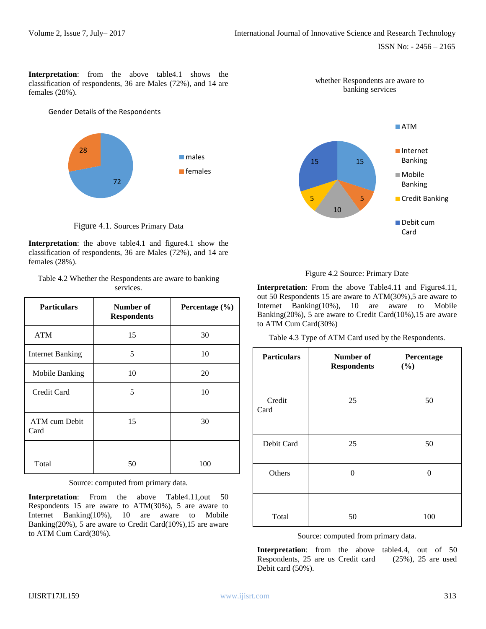**Interpretation**: from the above table4.1 shows the classification of respondents, 36 are Males (72%), and 14 are females (28%).

#### Gender Details of the Respondents



Figure 4.1. Sources Primary Data

**Interpretation**: the above table4.1 and figure4.1 show the classification of respondents, 36 are Males (72%), and 14 are females (28%).

| Table 4.2 Whether the Respondents are aware to banking |
|--------------------------------------------------------|
| services.                                              |

| <b>Particulars</b>      | Number of<br><b>Respondents</b> | Percentage (%) |
|-------------------------|---------------------------------|----------------|
| <b>ATM</b>              | 15                              | 30             |
| <b>Internet Banking</b> | 5                               | 10             |
| Mobile Banking          | 10                              | 20             |
| Credit Card             | 5                               | 10             |
| ATM cum Debit<br>Card   | 15                              | 30             |
| Total                   | 50                              | 100            |

Source: computed from primary data.

**Interpretation:** From the above Table4.11,out 50 Respondents 15 are aware to ATM(30%), 5 are aware to Internet Banking(10%), 10 are aware to Mobile Banking(20%), 5 are aware to Credit Card(10%),15 are aware to ATM Cum Card(30%).



whether Respondents are aware to



**Interpretation**: From the above Table4.11 and Figure4.11, out 50 Respondents 15 are aware to ATM(30%),5 are aware to Internet Banking(10%), 10 are aware to Mobile Banking(20%), 5 are aware to Credit Card(10%),15 are aware to ATM Cum Card(30%)

Table 4.3 Type of ATM Card used by the Respondents.

| <b>Particulars</b> | Number of<br><b>Respondents</b> | Percentage<br>(%) |
|--------------------|---------------------------------|-------------------|
| Credit<br>Card     | 25                              | 50                |
| Debit Card         | 25                              | 50                |
| Others             | 0                               | ∩                 |
| Total              | 50                              | 100               |

Source: computed from primary data.

**Interpretation**: from the above table4.4, out of 50 Respondents, 25 are us Credit card (25%), 25 are used Debit card (50%).